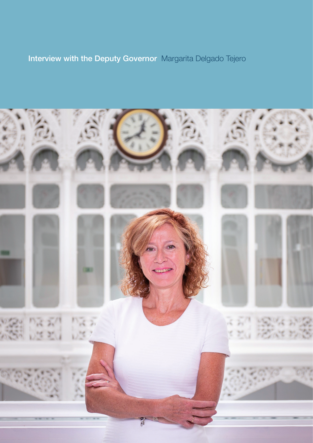# Interview with the Deputy Governor Margarita Delgado Tejero

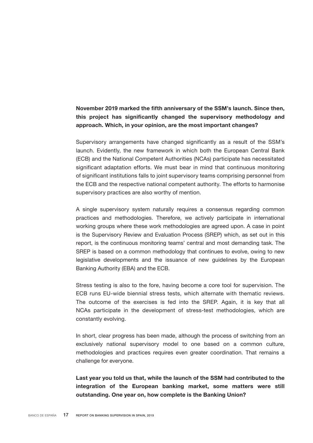# November 2019 marked the fifth anniversary of the SSM's launch. Since then, this project has significantly changed the supervisory methodology and approach. Which, in your opinion, are the most important changes?

Supervisory arrangements have changed significantly as a result of the SSM's launch. Evidently, the new framework in which both the European Central Bank (ECB) and the National Competent Authorities (NCAs) participate has necessitated significant adaptation efforts. We must bear in mind that continuous monitoring of significant institutions falls to joint supervisory teams comprising personnel from the ECB and the respective national competent authority. The efforts to harmonise supervisory practices are also worthy of mention.

A single supervisory system naturally requires a consensus regarding common practices and methodologies. Therefore, we actively participate in international working groups where these work methodologies are agreed upon. A case in point is the Supervisory Review and Evaluation Process (SREP) which, as set out in this report, is the continuous monitoring teams' central and most demanding task. The SREP is based on a common methodology that continues to evolve, owing to new legislative developments and the issuance of new guidelines by the European Banking Authority (EBA) and the ECB.

Stress testing is also to the fore, having become a core tool for supervision. The ECB runs EU-wide biennial stress tests, which alternate with thematic reviews. The outcome of the exercises is fed into the SREP. Again, it is key that all NCAs participate in the development of stress-test methodologies, which are constantly evolving.

In short, clear progress has been made, although the process of switching from an exclusively national supervisory model to one based on a common culture, methodologies and practices requires even greater coordination. That remains a challenge for everyone.

Last year you told us that, while the launch of the SSM had contributed to the integration of the European banking market, some matters were still outstanding. One year on, how complete is the Banking Union?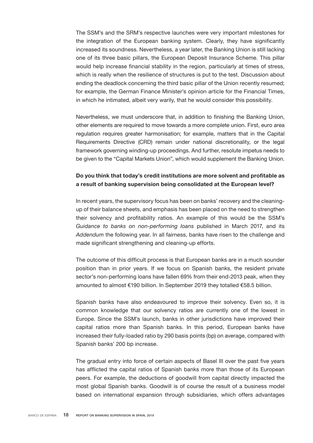The SSM's and the SRM's respective launches were very important milestones for the integration of the European banking system. Clearly, they have significantly increased its soundness. Nevertheless, a year later, the Banking Union is still lacking one of its three basic pillars, the European Deposit Insurance Scheme. This pillar would help increase financial stability in the region, particularly at times of stress, which is really when the resilience of structures is put to the test. Discussion about ending the deadlock concerning the third basic pillar of the Union recently resumed; for example, the German Finance Minister's opinion article for the Financial Times, in which he intimated, albeit very warily, that he would consider this possibility.

Nevertheless, we must underscore that, in addition to finishing the Banking Union, other elements are required to move towards a more complete union. First, euro area regulation requires greater harmonisation; for example, matters that in the Capital Requirements Directive (CRD) remain under national discretionality, or the legal framework governing winding-up proceedings. And further, resolute impetus needs to be given to the "Capital Markets Union", which would supplement the Banking Union.

### Do you think that today's credit institutions are more solvent and profitable as a result of banking supervision being consolidated at the European level?

In recent years, the supervisory focus has been on banks' recovery and the cleaningup of their balance sheets, and emphasis has been placed on the need to strengthen their solvency and profitability ratios. An example of this would be the SSM's *Guidance to banks on non-performing loans* published in March 2017, and its *Addendum* the following year. In all fairness, banks have risen to the challenge and made significant strengthening and cleaning-up efforts.

The outcome of this difficult process is that European banks are in a much sounder position than in prior years. If we focus on Spanish banks, the resident private sector's non-performing loans have fallen 69% from their end-2013 peak, when they amounted to almost €190 billion. In September 2019 they totalled €58.5 billion.

Spanish banks have also endeavoured to improve their solvency. Even so, it is common knowledge that our solvency ratios are currently one of the lowest in Europe. Since the SSM's launch, banks in other jurisdictions have improved their capital ratios more than Spanish banks. In this period, European banks have increased their fully-loaded ratio by 290 basis points (bp) on average, compared with Spanish banks' 200 bp increase.

The gradual entry into force of certain aspects of Basel III over the past five years has afflicted the capital ratios of Spanish banks more than those of its European peers. For example, the deductions of goodwill from capital directly impacted the most global Spanish banks. Goodwill is of course the result of a business model based on international expansion through subsidiaries, which offers advantages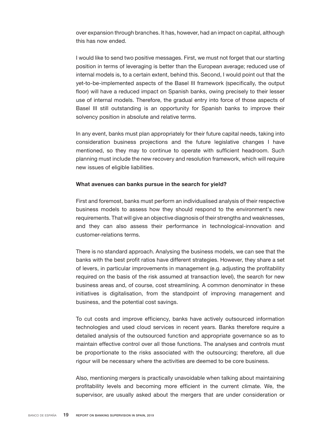over expansion through branches. It has, however, had an impact on capital, although this has now ended.

I would like to send two positive messages. First, we must not forget that our starting position in terms of leveraging is better than the European average; reduced use of internal models is, to a certain extent, behind this. Second, I would point out that the yet-to-be-implemented aspects of the Basel III framework (specifically, the output floor) will have a reduced impact on Spanish banks, owing precisely to their lesser use of internal models. Therefore, the gradual entry into force of those aspects of Basel III still outstanding is an opportunity for Spanish banks to improve their solvency position in absolute and relative terms.

In any event, banks must plan appropriately for their future capital needs, taking into consideration business projections and the future legislative changes I have mentioned, so they may to continue to operate with sufficient headroom. Such planning must include the new recovery and resolution framework, which will require new issues of eligible liabilities.

#### What avenues can banks pursue in the search for yield?

First and foremost, banks must perform an individualised analysis of their respective business models to assess how they should respond to the environment's new requirements. That will give an objective diagnosis of their strengths and weaknesses, and they can also assess their performance in technological-innovation and customer-relations terms.

There is no standard approach. Analysing the business models, we can see that the banks with the best profit ratios have different strategies. However, they share a set of levers, in particular improvements in management (e.g. adjusting the profitability required on the basis of the risk assumed at transaction level), the search for new business areas and, of course, cost streamlining. A common denominator in these initiatives is digitalisation, from the standpoint of improving management and business, and the potential cost savings.

To cut costs and improve efficiency, banks have actively outsourced information technologies and used cloud services in recent years. Banks therefore require a detailed analysis of the outsourced function and appropriate governance so as to maintain effective control over all those functions. The analyses and controls must be proportionate to the risks associated with the outsourcing; therefore, all due rigour will be necessary where the activities are deemed to be core business.

Also, mentioning mergers is practically unavoidable when talking about maintaining profitability levels and becoming more efficient in the current climate. We, the supervisor, are usually asked about the mergers that are under consideration or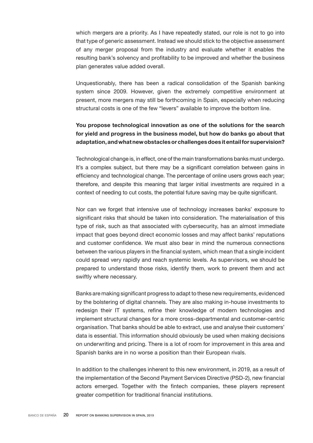which mergers are a priority. As I have repeatedly stated, our role is not to go into that type of generic assessment. Instead we should stick to the objective assessment of any merger proposal from the industry and evaluate whether it enables the resulting bank's solvency and profitability to be improved and whether the business plan generates value added overall.

Unquestionably, there has been a radical consolidation of the Spanish banking system since 2009. However, given the extremely competitive environment at present, more mergers may still be forthcoming in Spain, especially when reducing structural costs is one of the few "levers" available to improve the bottom line.

# You propose technological innovation as one of the solutions for the search for yield and progress in the business model, but how do banks go about that adaptation, and what new obstacles or challenges does it entail for supervision?

Technological change is, in effect, one of the main transformations banks must undergo. It's a complex subject, but there may be a significant correlation between gains in efficiency and technological change. The percentage of online users grows each year; therefore, and despite this meaning that larger initial investments are required in a context of needing to cut costs, the potential future saving may be quite significant.

Nor can we forget that intensive use of technology increases banks' exposure to significant risks that should be taken into consideration. The materialisation of this type of risk, such as that associated with cybersecurity, has an almost immediate impact that goes beyond direct economic losses and may affect banks' reputations and customer confidence. We must also bear in mind the numerous connections between the various players in the financial system, which mean that a single incident could spread very rapidly and reach systemic levels. As supervisors, we should be prepared to understand those risks, identify them, work to prevent them and act swiftly where necessary.

Banks are making significant progress to adapt to these new requirements, evidenced by the bolstering of digital channels. They are also making in-house investments to redesign their IT systems, refine their knowledge of modern technologies and implement structural changes for a more cross-departmental and customer-centric organisation. That banks should be able to extract, use and analyse their customers' data is essential. This information should obviously be used when making decisions on underwriting and pricing. There is a lot of room for improvement in this area and Spanish banks are in no worse a position than their European rivals.

In addition to the challenges inherent to this new environment, in 2019, as a result of the implementation of the Second Payment Services Directive (PSD-2), new financial actors emerged. Together with the fintech companies, these players represent greater competition for traditional financial institutions.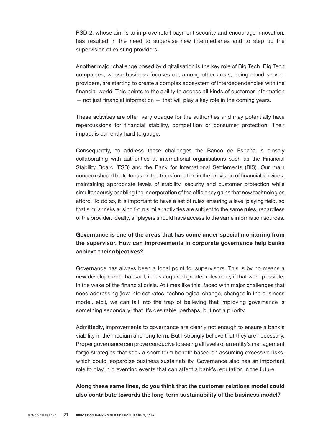PSD-2, whose aim is to improve retail payment security and encourage innovation, has resulted in the need to supervise new intermediaries and to step up the supervision of existing providers.

Another major challenge posed by digitalisation is the key role of Big Tech. Big Tech companies, whose business focuses on, among other areas, being cloud service providers, are starting to create a complex ecosystem of interdependencies with the financial world. This points to the ability to access all kinds of customer information  $-$  not just financial information  $-$  that will play a key role in the coming years.

These activities are often very opaque for the authorities and may potentially have repercussions for financial stability, competition or consumer protection. Their impact is currently hard to gauge.

Consequently, to address these challenges the Banco de España is closely collaborating with authorities at international organisations such as the Financial Stability Board (FSB) and the Bank for International Settlements (BIS). Our main concern should be to focus on the transformation in the provision of financial services, maintaining appropriate levels of stability, security and customer protection while simultaneously enabling the incorporation of the efficiency gains that new technologies afford. To do so, it is important to have a set of rules ensuring a level playing field, so that similar risks arising from similar activities are subject to the same rules, regardless of the provider. Ideally, all players should have access to the same information sources.

# Governance is one of the areas that has come under special monitoring from the supervisor. How can improvements in corporate governance help banks achieve their objectives?

Governance has always been a focal point for supervisors. This is by no means a new development; that said, it has acquired greater relevance, if that were possible, in the wake of the financial crisis. At times like this, faced with major challenges that need addressing (low interest rates, technological change, changes in the business model, etc.), we can fall into the trap of believing that improving governance is something secondary; that it's desirable, perhaps, but not a priority.

Admittedly, improvements to governance are clearly not enough to ensure a bank's viability in the medium and long term. But I strongly believe that they are necessary. Proper governance can prove conducive to seeing all levels of an entity's management forgo strategies that seek a short-term benefit based on assuming excessive risks, which could jeopardise business sustainability. Governance also has an important role to play in preventing events that can affect a bank's reputation in the future.

### Along these same lines, do you think that the customer relations model could also contribute towards the long-term sustainability of the business model?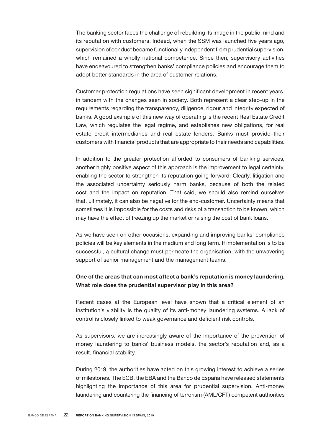The banking sector faces the challenge of rebuilding its image in the public mind and its reputation with customers. Indeed, when the SSM was launched five years ago, supervision of conduct became functionally independent from prudential supervision, which remained a wholly national competence. Since then, supervisory activities have endeavoured to strengthen banks' compliance policies and encourage them to adopt better standards in the area of customer relations.

Customer protection regulations have seen significant development in recent years, in tandem with the changes seen in society. Both represent a clear step-up in the requirements regarding the transparency, diligence, rigour and integrity expected of banks. A good example of this new way of operating is the recent Real Estate Credit Law, which regulates the legal regime, and establishes new obligations, for real estate credit intermediaries and real estate lenders. Banks must provide their customers with financial products that are appropriate to their needs and capabilities.

In addition to the greater protection afforded to consumers of banking services, another highly positive aspect of this approach is the improvement to legal certainty, enabling the sector to strengthen its reputation going forward. Clearly, litigation and the associated uncertainty seriously harm banks, because of both the related cost and the impact on reputation. That said, we should also remind ourselves that, ultimately, it can also be negative for the end-customer. Uncertainty means that sometimes it is impossible for the costs and risks of a transaction to be known, which may have the effect of freezing up the market or raising the cost of bank loans.

As we have seen on other occasions, expanding and improving banks' compliance policies will be key elements in the medium and long term. If implementation is to be successful, a cultural change must permeate the organisation, with the unwavering support of senior management and the management teams.

### One of the areas that can most affect a bank's reputation is money laundering. What role does the prudential supervisor play in this area?

Recent cases at the European level have shown that a critical element of an institution's viability is the quality of its anti-money laundering systems. A lack of control is closely linked to weak governance and deficient risk controls.

As supervisors, we are increasingly aware of the importance of the prevention of money laundering to banks' business models, the sector's reputation and, as a result, financial stability.

During 2019, the authorities have acted on this growing interest to achieve a series of milestones. The ECB, the EBA and the Banco de España have released statements highlighting the importance of this area for prudential supervision. Anti-money laundering and countering the financing of terrorism (AML/CFT) competent authorities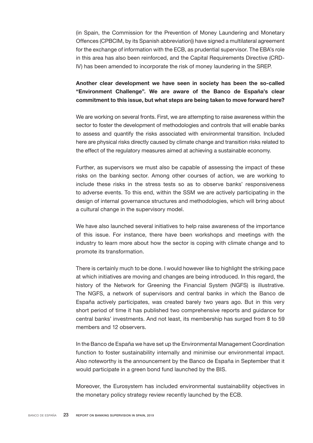(in Spain, the Commission for the Prevention of Money Laundering and Monetary Offences (CPBCIM, by its Spanish abbreviation)) have signed a multilateral agreement for the exchange of information with the ECB, as prudential supervisor. The EBA's role in this area has also been reinforced, and the Capital Requirements Directive (CRD-IV) has been amended to incorporate the risk of money laundering in the SREP.

# Another clear development we have seen in society has been the so-called "Environment Challenge". We are aware of the Banco de España's clear commitment to this issue, but what steps are being taken to move forward here?

We are working on several fronts. First, we are attempting to raise awareness within the sector to foster the development of methodologies and controls that will enable banks to assess and quantify the risks associated with environmental transition. Included here are physical risks directly caused by climate change and transition risks related to the effect of the regulatory measures aimed at achieving a sustainable economy.

Further, as supervisors we must also be capable of assessing the impact of these risks on the banking sector. Among other courses of action, we are working to include these risks in the stress tests so as to observe banks' responsiveness to adverse events. To this end, within the SSM we are actively participating in the design of internal governance structures and methodologies, which will bring about a cultural change in the supervisory model.

We have also launched several initiatives to help raise awareness of the importance of this issue. For instance, there have been workshops and meetings with the industry to learn more about how the sector is coping with climate change and to promote its transformation.

There is certainly much to be done. I would however like to highlight the striking pace at which initiatives are moving and changes are being introduced. In this regard, the history of the Network for Greening the Financial System (NGFS) is illustrative. The NGFS, a network of supervisors and central banks in which the Banco de España actively participates, was created barely two years ago. But in this very short period of time it has published two comprehensive reports and guidance for central banks' investments. And not least, its membership has surged from 8 to 59 members and 12 observers.

In the Banco de España we have set up the Environmental Management Coordination function to foster sustainability internally and minimise our environmental impact. Also noteworthy is the announcement by the Banco de España in September that it would participate in a green bond fund launched by the BIS.

Moreover, the Eurosystem has included environmental sustainability objectives in the monetary policy strategy review recently launched by the ECB.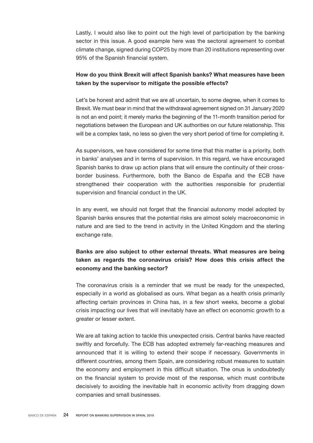Lastly, I would also like to point out the high level of participation by the banking sector in this issue. A good example here was the sectoral agreement to combat climate change, signed during COP25 by more than 20 institutions representing over 95% of the Spanish financial system.

### How do you think Brexit will affect Spanish banks? What measures have been taken by the supervisor to mitigate the possible effects?

Let's be honest and admit that we are all uncertain, to some degree, when it comes to Brexit. We must bear in mind that the withdrawal agreement signed on 31 January 2020 is not an end point; it merely marks the beginning of the 11-month transition period for negotiations between the European and UK authorities on our future relationship. This will be a complex task, no less so given the very short period of time for completing it.

As supervisors, we have considered for some time that this matter is a priority, both in banks' analyses and in terms of supervision. In this regard, we have encouraged Spanish banks to draw up action plans that will ensure the continuity of their crossborder business. Furthermore, both the Banco de España and the ECB have strengthened their cooperation with the authorities responsible for prudential supervision and financial conduct in the UK.

In any event, we should not forget that the financial autonomy model adopted by Spanish banks ensures that the potential risks are almost solely macroeconomic in nature and are tied to the trend in activity in the United Kingdom and the sterling exchange rate.

# Banks are also subject to other external threats. What measures are being taken as regards the coronavirus crisis? How does this crisis affect the economy and the banking sector?

The coronavirus crisis is a reminder that we must be ready for the unexpected, especially in a world as globalised as ours. What began as a health crisis primarily affecting certain provinces in China has, in a few short weeks, become a global crisis impacting our lives that will inevitably have an effect on economic growth to a greater or lesser extent.

We are all taking action to tackle this unexpected crisis. Central banks have reacted swiftly and forcefully. The ECB has adopted extremely far-reaching measures and announced that it is willing to extend their scope if necessary. Governments in different countries, among them Spain, are considering robust measures to sustain the economy and employment in this difficult situation. The onus is undoubtedly on the financial system to provide most of the response, which must contribute decisively to avoiding the inevitable halt in economic activity from dragging down companies and small businesses.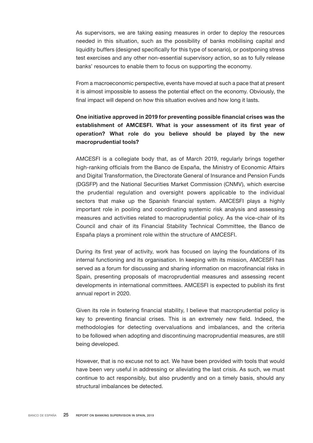As supervisors, we are taking easing measures in order to deploy the resources needed in this situation, such as the possibility of banks mobilising capital and liquidity buffers (designed specifically for this type of scenario), or postponing stress test exercises and any other non-essential supervisory action, so as to fully release banks' resources to enable them to focus on supporting the economy.

From a macroeconomic perspective, events have moved at such a pace that at present it is almost impossible to assess the potential effect on the economy. Obviously, the final impact will depend on how this situation evolves and how long it lasts.

# One initiative approved in 2019 for preventing possible financial crises was the establishment of AMCESFI. What is your assessment of its first year of operation? What role do you believe should be played by the new macroprudential tools?

AMCESFI is a collegiate body that, as of March 2019, regularly brings together high-ranking officials from the Banco de España, the Ministry of Economic Affairs and Digital Transformation, the Directorate General of Insurance and Pension Funds (DGSFP) and the National Securities Market Commission (CNMV), which exercise the prudential regulation and oversight powers applicable to the individual sectors that make up the Spanish financial system. AMCESFI plays a highly important role in pooling and coordinating systemic risk analysis and assessing measures and activities related to macroprudential policy. As the vice-chair of its Council and chair of its Financial Stability Technical Committee, the Banco de España plays a prominent role within the structure of AMCESFI.

During its first year of activity, work has focused on laying the foundations of its internal functioning and its organisation. In keeping with its mission, AMCESFI has served as a forum for discussing and sharing information on macrofinancial risks in Spain, presenting proposals of macroprudential measures and assessing recent developments in international committees. AMCESFI is expected to publish its first annual report in 2020.

Given its role in fostering financial stability, I believe that macroprudential policy is key to preventing financial crises. This is an extremely new field. Indeed, the methodologies for detecting overvaluations and imbalances, and the criteria to be followed when adopting and discontinuing macroprudential measures, are still being developed.

However, that is no excuse not to act. We have been provided with tools that would have been very useful in addressing or alleviating the last crisis. As such, we must continue to act responsibly, but also prudently and on a timely basis, should any structural imbalances be detected.